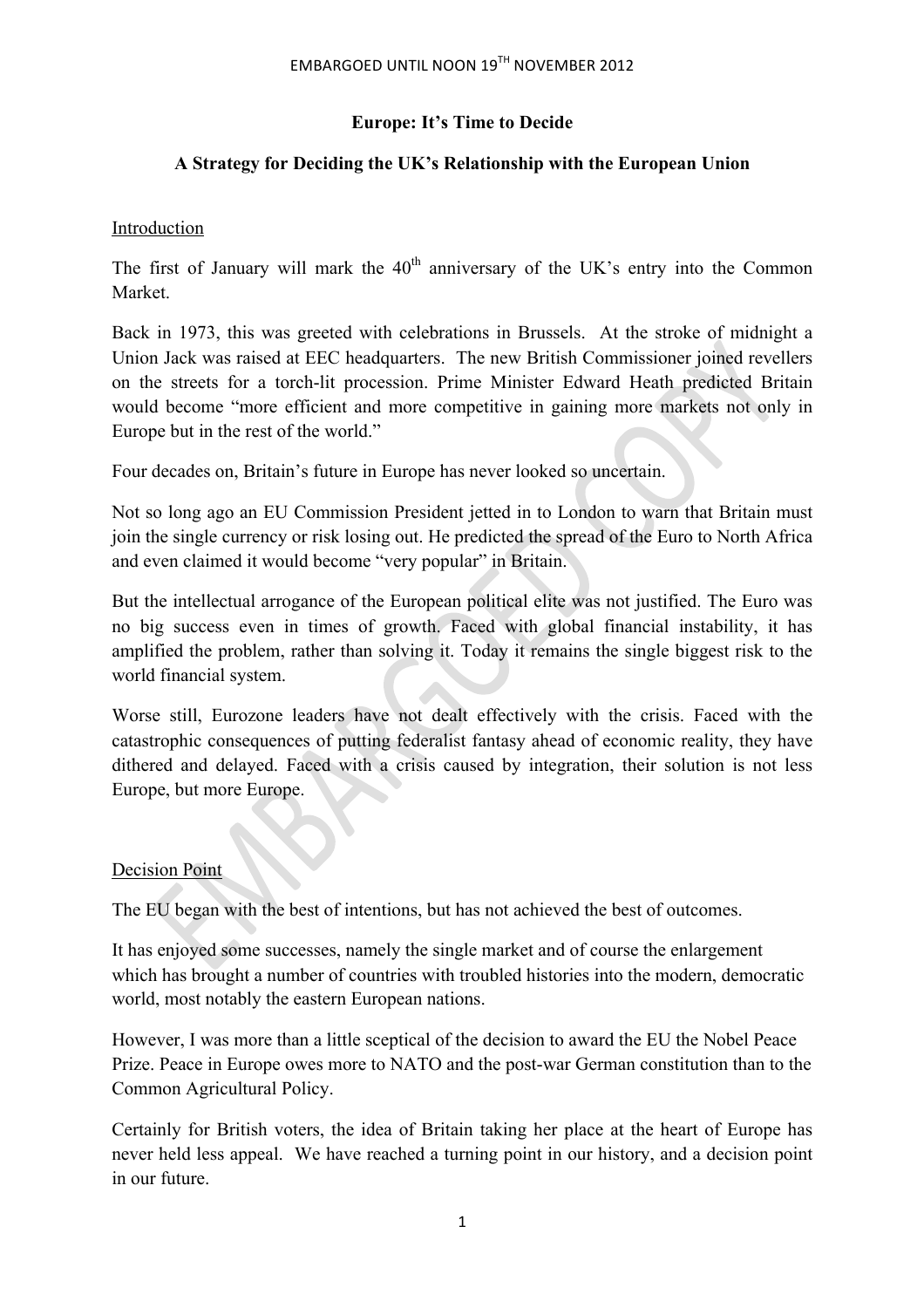## **Europe: It's Time to Decide**

## **A Strategy for Deciding the UK's Relationship with the European Union**

### Introduction

The first of January will mark the  $40<sup>th</sup>$  anniversary of the UK's entry into the Common Market.

Back in 1973, this was greeted with celebrations in Brussels. At the stroke of midnight a Union Jack was raised at EEC headquarters. The new British Commissioner joined revellers on the streets for a torch-lit procession. Prime Minister Edward Heath predicted Britain would become "more efficient and more competitive in gaining more markets not only in Europe but in the rest of the world."

Four decades on, Britain's future in Europe has never looked so uncertain.

Not so long ago an EU Commission President jetted in to London to warn that Britain must join the single currency or risk losing out. He predicted the spread of the Euro to North Africa and even claimed it would become "very popular" in Britain.

But the intellectual arrogance of the European political elite was not justified. The Euro was no big success even in times of growth. Faced with global financial instability, it has amplified the problem, rather than solving it. Today it remains the single biggest risk to the world financial system.

Worse still, Eurozone leaders have not dealt effectively with the crisis. Faced with the catastrophic consequences of putting federalist fantasy ahead of economic reality, they have dithered and delayed. Faced with a crisis caused by integration, their solution is not less Europe, but more Europe.

## Decision Point

The EU began with the best of intentions, but has not achieved the best of outcomes.

It has enjoyed some successes, namely the single market and of course the enlargement which has brought a number of countries with troubled histories into the modern, democratic world, most notably the eastern European nations.

However, I was more than a little sceptical of the decision to award the EU the Nobel Peace Prize. Peace in Europe owes more to NATO and the post-war German constitution than to the Common Agricultural Policy.

Certainly for British voters, the idea of Britain taking her place at the heart of Europe has never held less appeal. We have reached a turning point in our history, and a decision point in our future.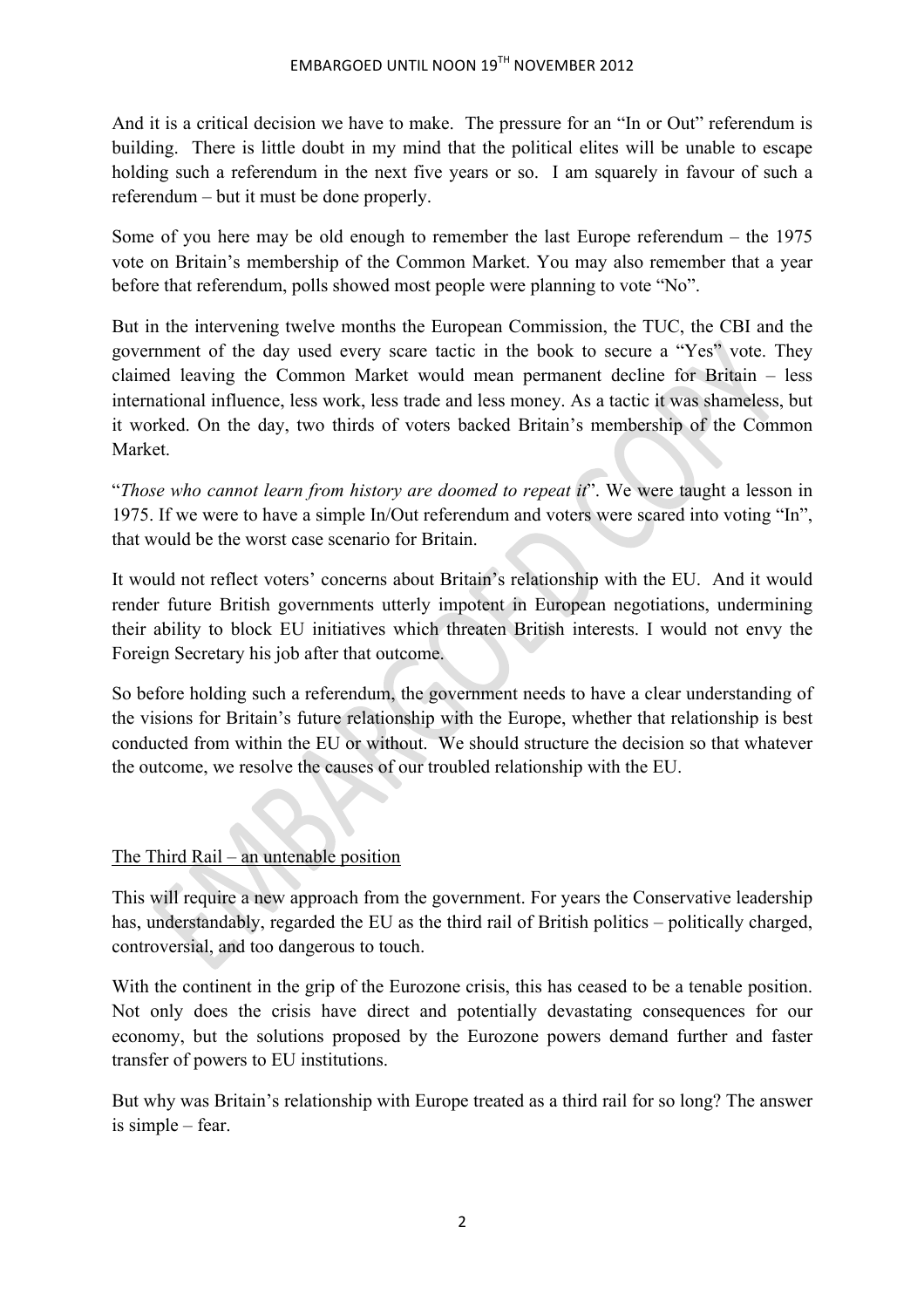And it is a critical decision we have to make. The pressure for an "In or Out" referendum is building. There is little doubt in my mind that the political elites will be unable to escape holding such a referendum in the next five years or so. I am squarely in favour of such a referendum – but it must be done properly.

Some of you here may be old enough to remember the last Europe referendum – the 1975 vote on Britain's membership of the Common Market. You may also remember that a year before that referendum, polls showed most people were planning to vote "No".

But in the intervening twelve months the European Commission, the TUC, the CBI and the government of the day used every scare tactic in the book to secure a "Yes" vote. They claimed leaving the Common Market would mean permanent decline for Britain – less international influence, less work, less trade and less money. As a tactic it was shameless, but it worked. On the day, two thirds of voters backed Britain's membership of the Common Market.

"*Those who cannot learn from history are doomed to repeat it*". We were taught a lesson in 1975. If we were to have a simple In/Out referendum and voters were scared into voting "In", that would be the worst case scenario for Britain.

It would not reflect voters' concerns about Britain's relationship with the EU. And it would render future British governments utterly impotent in European negotiations, undermining their ability to block EU initiatives which threaten British interests. I would not envy the Foreign Secretary his job after that outcome.

So before holding such a referendum, the government needs to have a clear understanding of the visions for Britain's future relationship with the Europe, whether that relationship is best conducted from within the EU or without. We should structure the decision so that whatever the outcome, we resolve the causes of our troubled relationship with the EU.

The Third Rail – an untenable position

This will require a new approach from the government. For years the Conservative leadership has, understandably, regarded the EU as the third rail of British politics – politically charged, controversial, and too dangerous to touch.

With the continent in the grip of the Eurozone crisis, this has ceased to be a tenable position. Not only does the crisis have direct and potentially devastating consequences for our economy, but the solutions proposed by the Eurozone powers demand further and faster transfer of powers to EU institutions.

But why was Britain's relationship with Europe treated as a third rail for so long? The answer is simple – fear.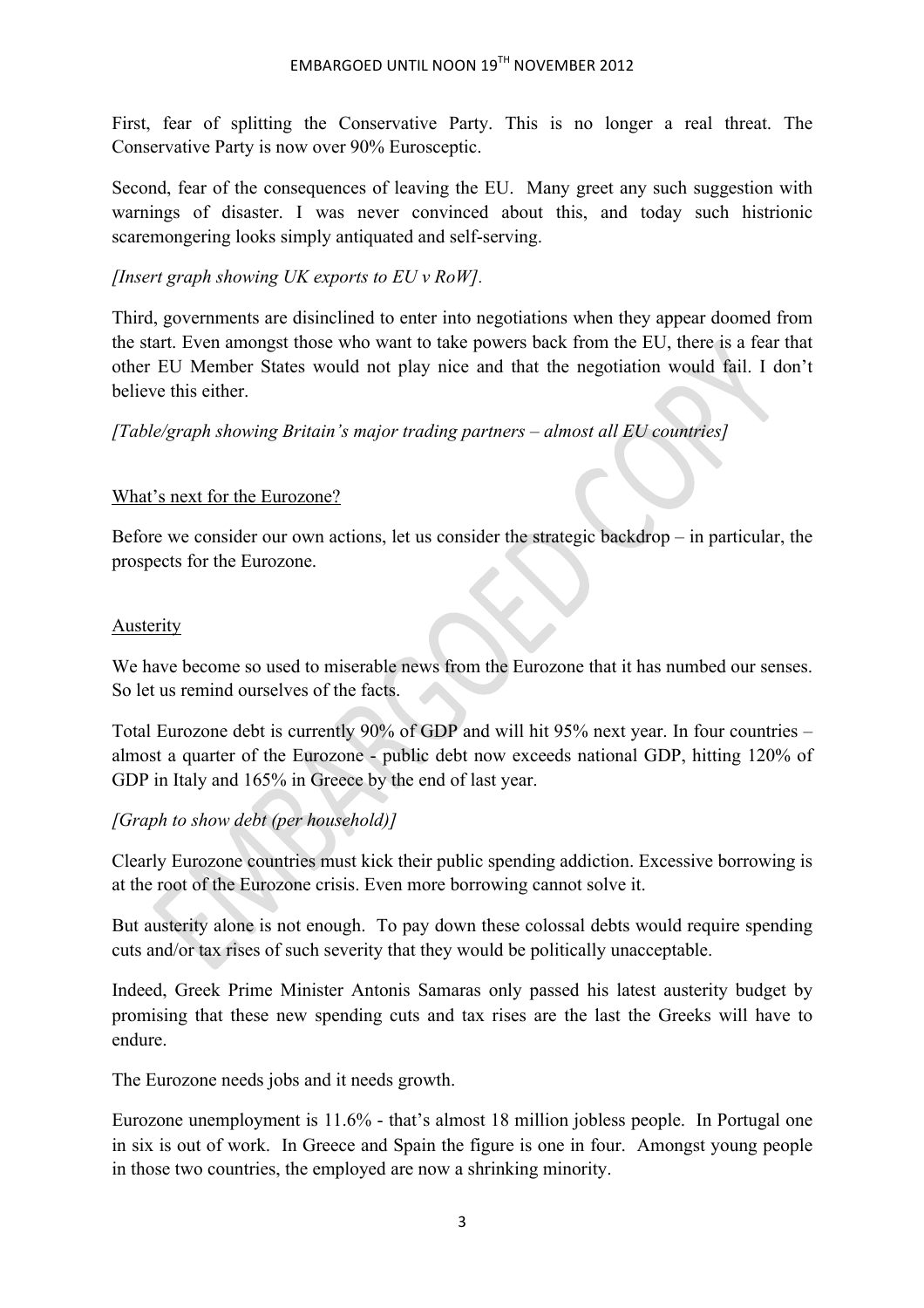First, fear of splitting the Conservative Party. This is no longer a real threat. The Conservative Party is now over 90% Eurosceptic.

Second, fear of the consequences of leaving the EU. Many greet any such suggestion with warnings of disaster. I was never convinced about this, and today such histrionic scaremongering looks simply antiquated and self-serving.

*[Insert graph showing UK exports to EU v RoW].*

Third, governments are disinclined to enter into negotiations when they appear doomed from the start. Even amongst those who want to take powers back from the EU, there is a fear that other EU Member States would not play nice and that the negotiation would fail. I don't believe this either.

*[Table/graph showing Britain's major trading partners – almost all EU countries]*

#### What's next for the Eurozone?

Before we consider our own actions, let us consider the strategic backdrop – in particular, the prospects for the Eurozone.

#### Austerity

We have become so used to miserable news from the Eurozone that it has numbed our senses. So let us remind ourselves of the facts.

Total Eurozone debt is currently 90% of GDP and will hit 95% next year. In four countries – almost a quarter of the Eurozone - public debt now exceeds national GDP, hitting 120% of GDP in Italy and 165% in Greece by the end of last year.

#### *[Graph to show debt (per household)]*

Clearly Eurozone countries must kick their public spending addiction. Excessive borrowing is at the root of the Eurozone crisis. Even more borrowing cannot solve it.

But austerity alone is not enough. To pay down these colossal debts would require spending cuts and/or tax rises of such severity that they would be politically unacceptable.

Indeed, Greek Prime Minister Antonis Samaras only passed his latest austerity budget by promising that these new spending cuts and tax rises are the last the Greeks will have to endure.

The Eurozone needs jobs and it needs growth.

Eurozone unemployment is 11.6% - that's almost 18 million jobless people. In Portugal one in six is out of work. In Greece and Spain the figure is one in four. Amongst young people in those two countries, the employed are now a shrinking minority.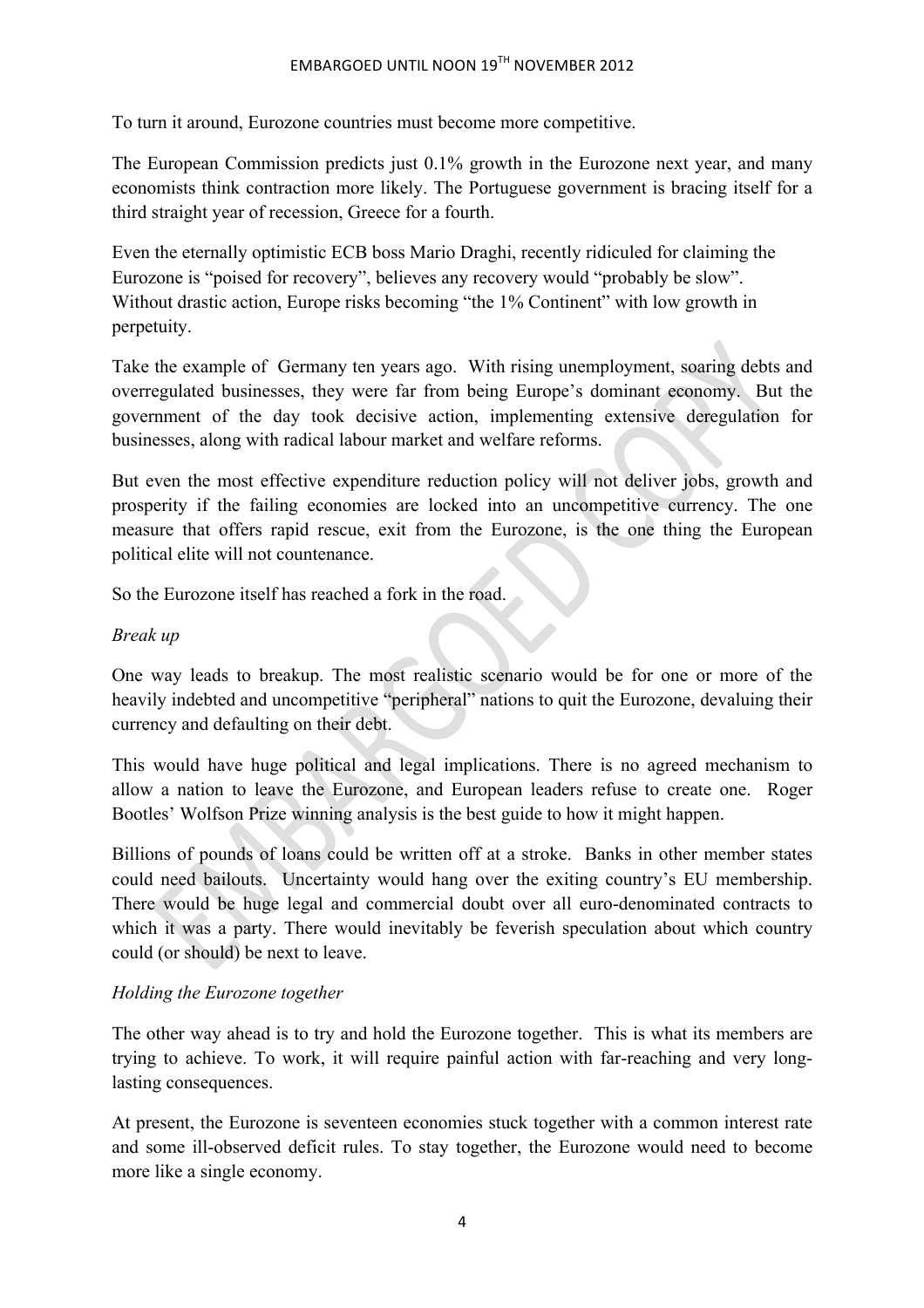To turn it around, Eurozone countries must become more competitive.

The European Commission predicts just 0.1% growth in the Eurozone next year, and many economists think contraction more likely. The Portuguese government is bracing itself for a third straight year of recession, Greece for a fourth.

Even the eternally optimistic ECB boss Mario Draghi, recently ridiculed for claiming the Eurozone is "poised for recovery", believes any recovery would "probably be slow". Without drastic action, Europe risks becoming "the 1% Continent" with low growth in perpetuity.

Take the example of Germany ten years ago. With rising unemployment, soaring debts and overregulated businesses, they were far from being Europe's dominant economy. But the government of the day took decisive action, implementing extensive deregulation for businesses, along with radical labour market and welfare reforms.

But even the most effective expenditure reduction policy will not deliver jobs, growth and prosperity if the failing economies are locked into an uncompetitive currency. The one measure that offers rapid rescue, exit from the Eurozone, is the one thing the European political elite will not countenance.

So the Eurozone itself has reached a fork in the road.

### *Break up*

One way leads to breakup. The most realistic scenario would be for one or more of the heavily indebted and uncompetitive "peripheral" nations to quit the Eurozone, devaluing their currency and defaulting on their debt.

This would have huge political and legal implications. There is no agreed mechanism to allow a nation to leave the Eurozone, and European leaders refuse to create one. Roger Bootles' Wolfson Prize winning analysis is the best guide to how it might happen.

Billions of pounds of loans could be written off at a stroke. Banks in other member states could need bailouts. Uncertainty would hang over the exiting country's EU membership. There would be huge legal and commercial doubt over all euro-denominated contracts to which it was a party. There would inevitably be feverish speculation about which country could (or should) be next to leave.

## *Holding the Eurozone together*

The other way ahead is to try and hold the Eurozone together. This is what its members are trying to achieve. To work, it will require painful action with far-reaching and very longlasting consequences.

At present, the Eurozone is seventeen economies stuck together with a common interest rate and some ill-observed deficit rules. To stay together, the Eurozone would need to become more like a single economy.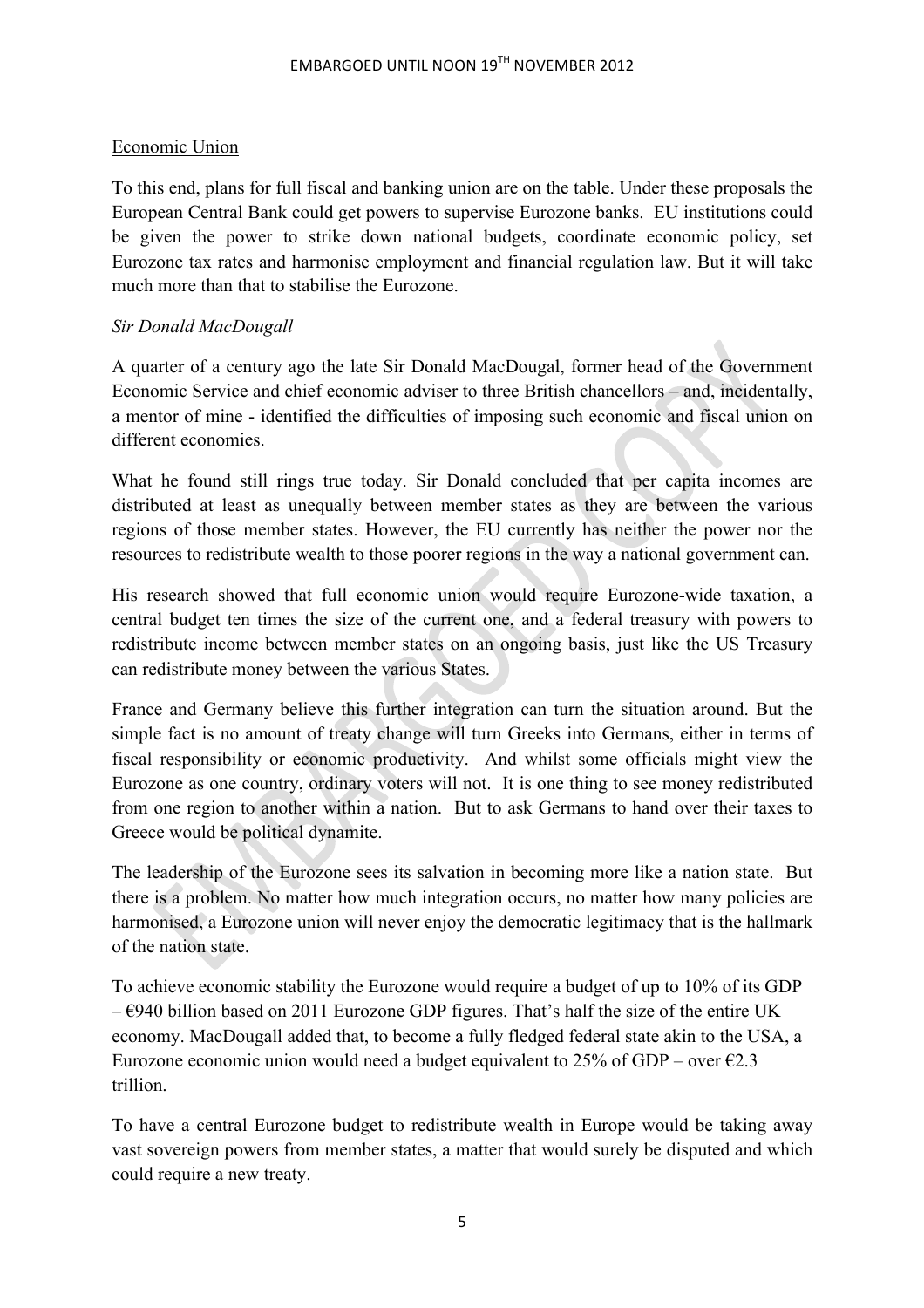### Economic Union

To this end, plans for full fiscal and banking union are on the table. Under these proposals the European Central Bank could get powers to supervise Eurozone banks. EU institutions could be given the power to strike down national budgets, coordinate economic policy, set Eurozone tax rates and harmonise employment and financial regulation law. But it will take much more than that to stabilise the Eurozone.

### *Sir Donald MacDougall*

A quarter of a century ago the late Sir Donald MacDougal, former head of the Government Economic Service and chief economic adviser to three British chancellors – and, incidentally, a mentor of mine - identified the difficulties of imposing such economic and fiscal union on different economies.

What he found still rings true today. Sir Donald concluded that per capita incomes are distributed at least as unequally between member states as they are between the various regions of those member states. However, the EU currently has neither the power nor the resources to redistribute wealth to those poorer regions in the way a national government can.

His research showed that full economic union would require Eurozone-wide taxation, a central budget ten times the size of the current one, and a federal treasury with powers to redistribute income between member states on an ongoing basis, just like the US Treasury can redistribute money between the various States.

France and Germany believe this further integration can turn the situation around. But the simple fact is no amount of treaty change will turn Greeks into Germans, either in terms of fiscal responsibility or economic productivity. And whilst some officials might view the Eurozone as one country, ordinary voters will not. It is one thing to see money redistributed from one region to another within a nation. But to ask Germans to hand over their taxes to Greece would be political dynamite.

The leadership of the Eurozone sees its salvation in becoming more like a nation state. But there is a problem. No matter how much integration occurs, no matter how many policies are harmonised, a Eurozone union will never enjoy the democratic legitimacy that is the hallmark of the nation state.

To achieve economic stability the Eurozone would require a budget of up to 10% of its GDP  $-\epsilon$ 940 billion based on 2011 Eurozone GDP figures. That's half the size of the entire UK economy. MacDougall added that, to become a fully fledged federal state akin to the USA, a Eurozone economic union would need a budget equivalent to 25% of GDP – over  $\epsilon$ 2.3 trillion.

To have a central Eurozone budget to redistribute wealth in Europe would be taking away vast sovereign powers from member states, a matter that would surely be disputed and which could require a new treaty.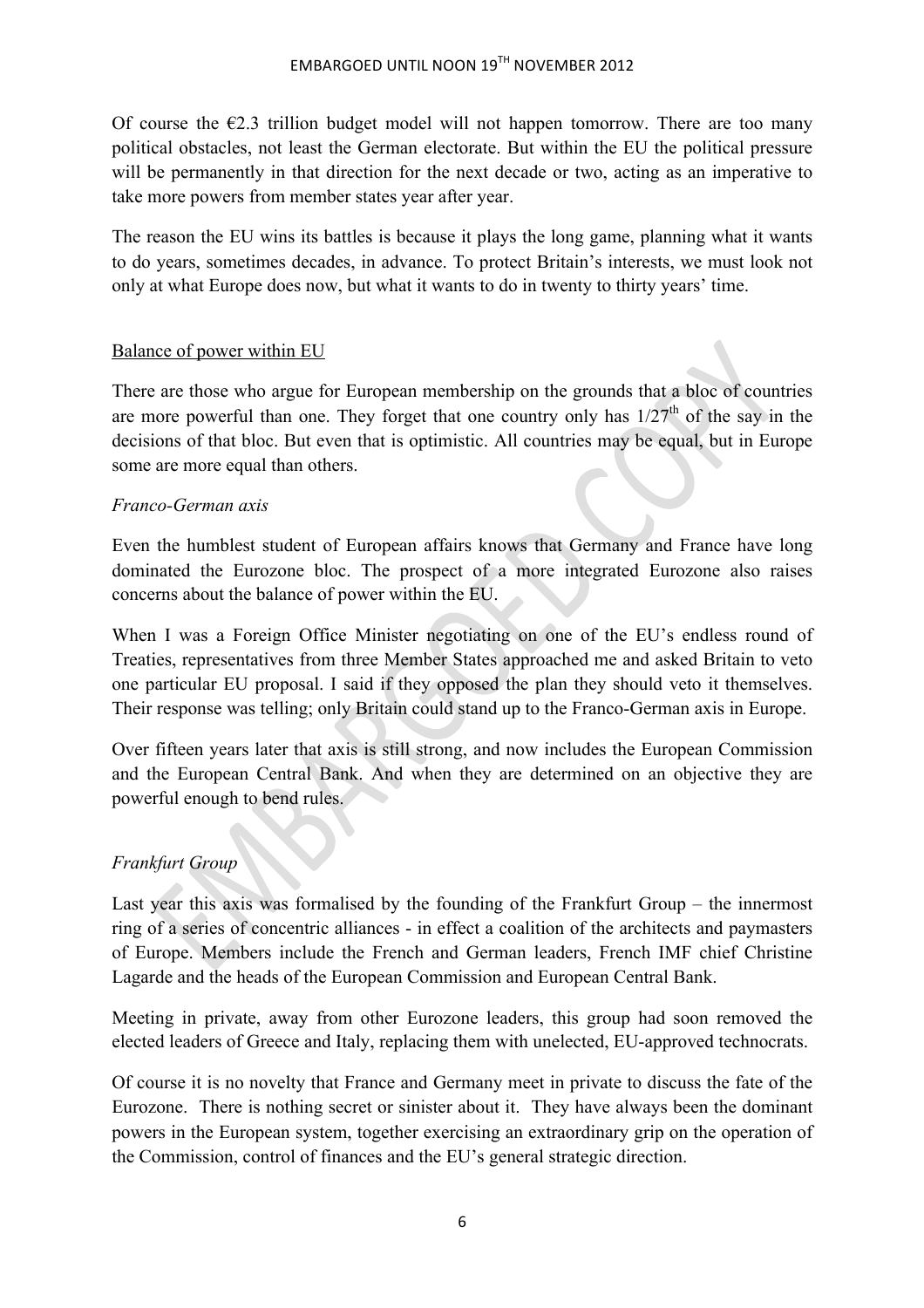Of course the  $\epsilon$ 2.3 trillion budget model will not happen tomorrow. There are too many political obstacles, not least the German electorate. But within the EU the political pressure will be permanently in that direction for the next decade or two, acting as an imperative to take more powers from member states year after year.

The reason the EU wins its battles is because it plays the long game, planning what it wants to do years, sometimes decades, in advance. To protect Britain's interests, we must look not only at what Europe does now, but what it wants to do in twenty to thirty years' time.

#### Balance of power within EU

There are those who argue for European membership on the grounds that a bloc of countries are more powerful than one. They forget that one country only has  $1/27<sup>th</sup>$  of the say in the decisions of that bloc. But even that is optimistic. All countries may be equal, but in Europe some are more equal than others.

#### *Franco-German axis*

Even the humblest student of European affairs knows that Germany and France have long dominated the Eurozone bloc. The prospect of a more integrated Eurozone also raises concerns about the balance of power within the EU.

When I was a Foreign Office Minister negotiating on one of the EU's endless round of Treaties, representatives from three Member States approached me and asked Britain to veto one particular EU proposal. I said if they opposed the plan they should veto it themselves. Their response was telling; only Britain could stand up to the Franco-German axis in Europe.

Over fifteen years later that axis is still strong, and now includes the European Commission and the European Central Bank. And when they are determined on an objective they are powerful enough to bend rules.

#### *Frankfurt Group*

Last year this axis was formalised by the founding of the Frankfurt Group – the innermost ring of a series of concentric alliances - in effect a coalition of the architects and paymasters of Europe. Members include the French and German leaders, French IMF chief Christine Lagarde and the heads of the European Commission and European Central Bank.

Meeting in private, away from other Eurozone leaders, this group had soon removed the elected leaders of Greece and Italy, replacing them with unelected, EU-approved technocrats.

Of course it is no novelty that France and Germany meet in private to discuss the fate of the Eurozone. There is nothing secret or sinister about it. They have always been the dominant powers in the European system, together exercising an extraordinary grip on the operation of the Commission, control of finances and the EU's general strategic direction.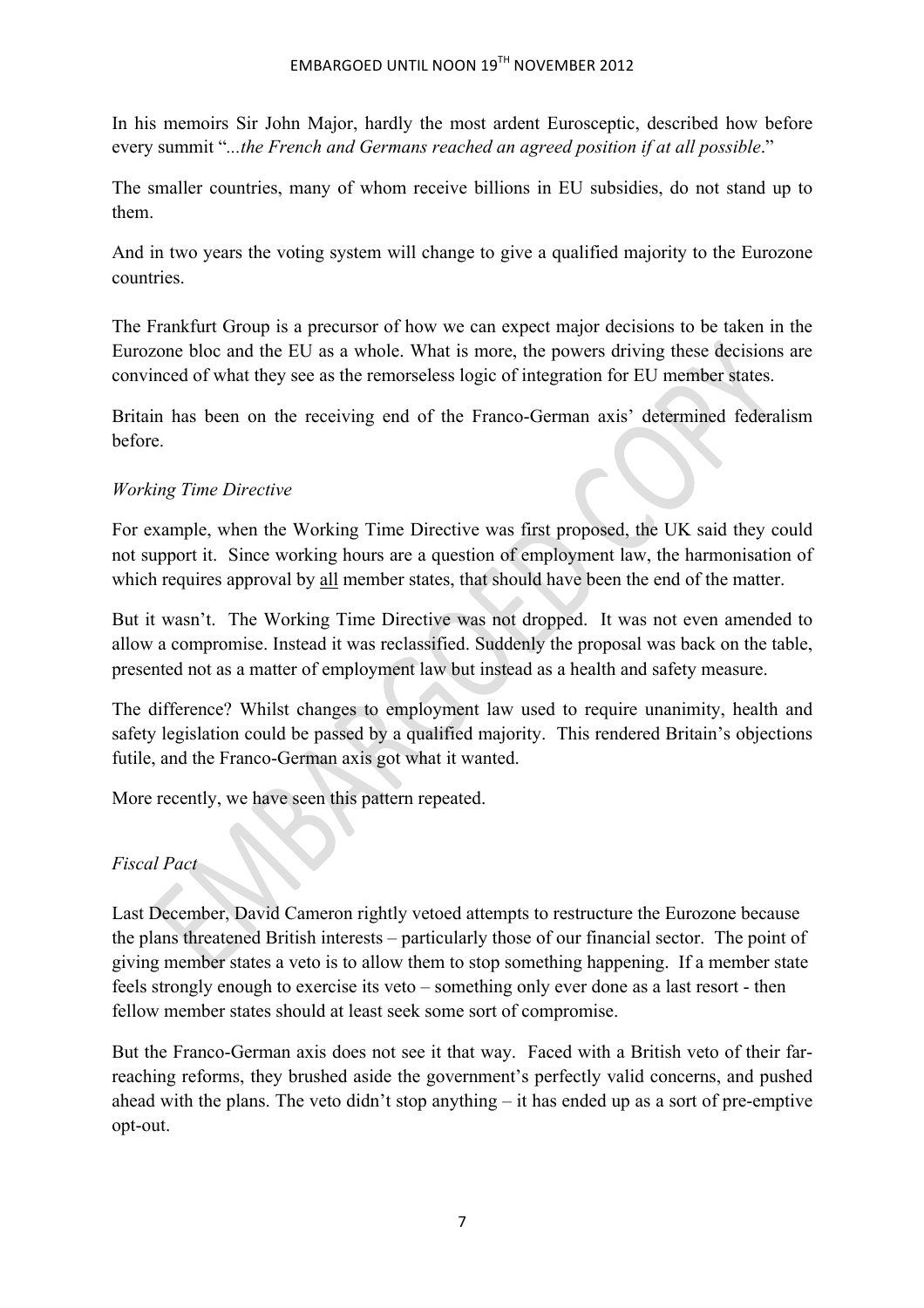## EMBARGOED UNTIL NOON  $19^{TH}$  NOVEMBER 2012

In his memoirs Sir John Major, hardly the most ardent Eurosceptic, described how before every summit "*...the French and Germans reached an agreed position if at all possible*."

The smaller countries, many of whom receive billions in EU subsidies, do not stand up to them.

And in two years the voting system will change to give a qualified majority to the Eurozone countries.

The Frankfurt Group is a precursor of how we can expect major decisions to be taken in the Eurozone bloc and the EU as a whole. What is more, the powers driving these decisions are convinced of what they see as the remorseless logic of integration for EU member states.

Britain has been on the receiving end of the Franco-German axis' determined federalism before.

### *Working Time Directive*

For example, when the Working Time Directive was first proposed, the UK said they could not support it. Since working hours are a question of employment law, the harmonisation of which requires approval by all member states, that should have been the end of the matter.

But it wasn't. The Working Time Directive was not dropped. It was not even amended to allow a compromise. Instead it was reclassified. Suddenly the proposal was back on the table, presented not as a matter of employment law but instead as a health and safety measure.

The difference? Whilst changes to employment law used to require unanimity, health and safety legislation could be passed by a qualified majority. This rendered Britain's objections futile, and the Franco-German axis got what it wanted.

More recently, we have seen this pattern repeated.

## *Fiscal Pact*

Last December, David Cameron rightly vetoed attempts to restructure the Eurozone because the plans threatened British interests – particularly those of our financial sector. The point of giving member states a veto is to allow them to stop something happening. If a member state feels strongly enough to exercise its veto – something only ever done as a last resort - then fellow member states should at least seek some sort of compromise.

But the Franco-German axis does not see it that way. Faced with a British veto of their farreaching reforms, they brushed aside the government's perfectly valid concerns, and pushed ahead with the plans. The veto didn't stop anything – it has ended up as a sort of pre-emptive opt-out.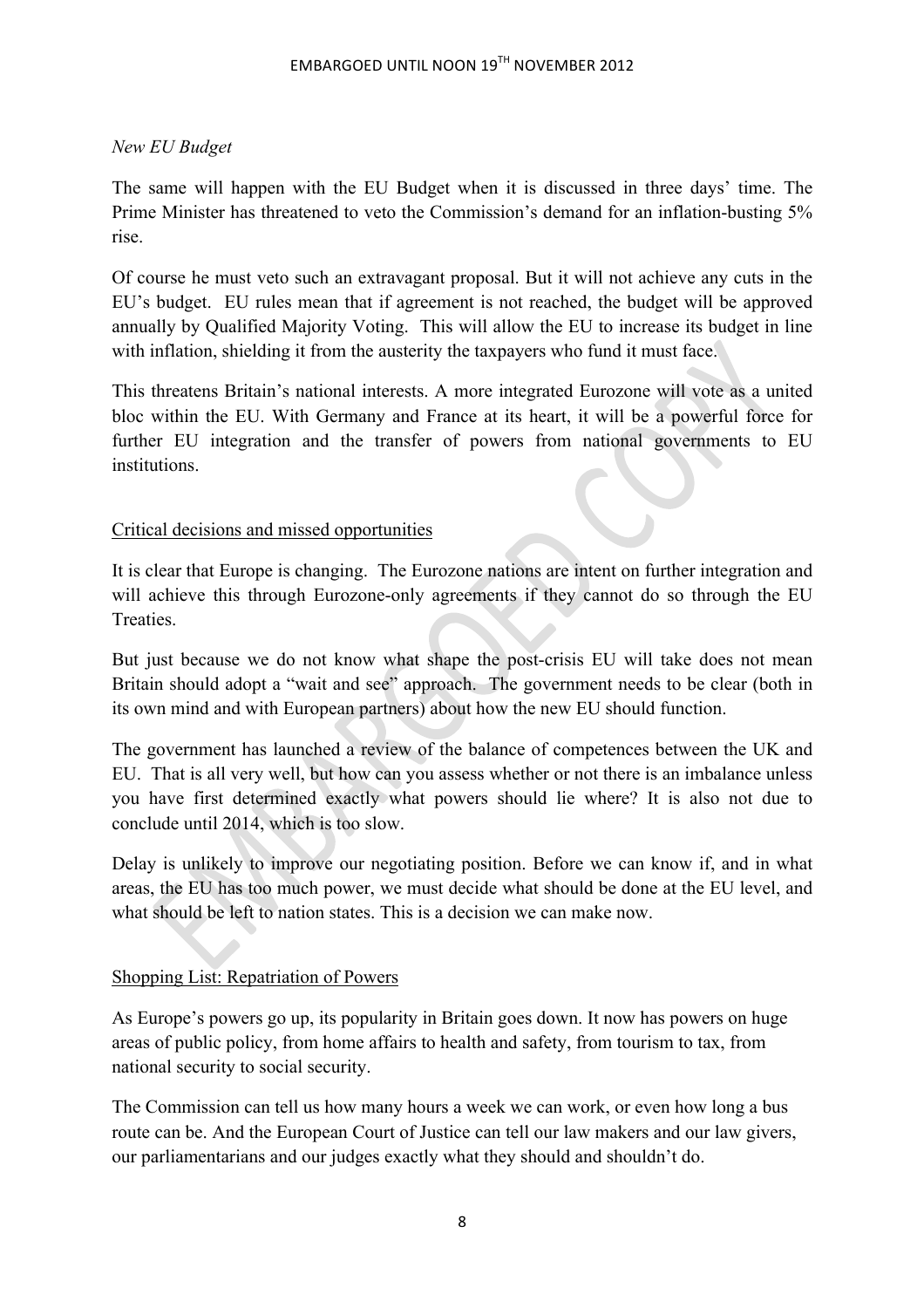### *New EU Budget*

The same will happen with the EU Budget when it is discussed in three days' time. The Prime Minister has threatened to veto the Commission's demand for an inflation-busting 5% rise.

Of course he must veto such an extravagant proposal. But it will not achieve any cuts in the EU's budget. EU rules mean that if agreement is not reached, the budget will be approved annually by Qualified Majority Voting. This will allow the EU to increase its budget in line with inflation, shielding it from the austerity the taxpayers who fund it must face.

This threatens Britain's national interests. A more integrated Eurozone will vote as a united bloc within the EU. With Germany and France at its heart, it will be a powerful force for further EU integration and the transfer of powers from national governments to EU institutions.

#### Critical decisions and missed opportunities

It is clear that Europe is changing. The Eurozone nations are intent on further integration and will achieve this through Eurozone-only agreements if they cannot do so through the EU Treaties.

But just because we do not know what shape the post-crisis EU will take does not mean Britain should adopt a "wait and see" approach. The government needs to be clear (both in its own mind and with European partners) about how the new EU should function.

The government has launched a review of the balance of competences between the UK and EU. That is all very well, but how can you assess whether or not there is an imbalance unless you have first determined exactly what powers should lie where? It is also not due to conclude until 2014, which is too slow.

Delay is unlikely to improve our negotiating position. Before we can know if, and in what areas, the EU has too much power, we must decide what should be done at the EU level, and what should be left to nation states. This is a decision we can make now.

#### Shopping List: Repatriation of Powers

As Europe's powers go up, its popularity in Britain goes down. It now has powers on huge areas of public policy, from home affairs to health and safety, from tourism to tax, from national security to social security.

The Commission can tell us how many hours a week we can work, or even how long a bus route can be. And the European Court of Justice can tell our law makers and our law givers, our parliamentarians and our judges exactly what they should and shouldn't do.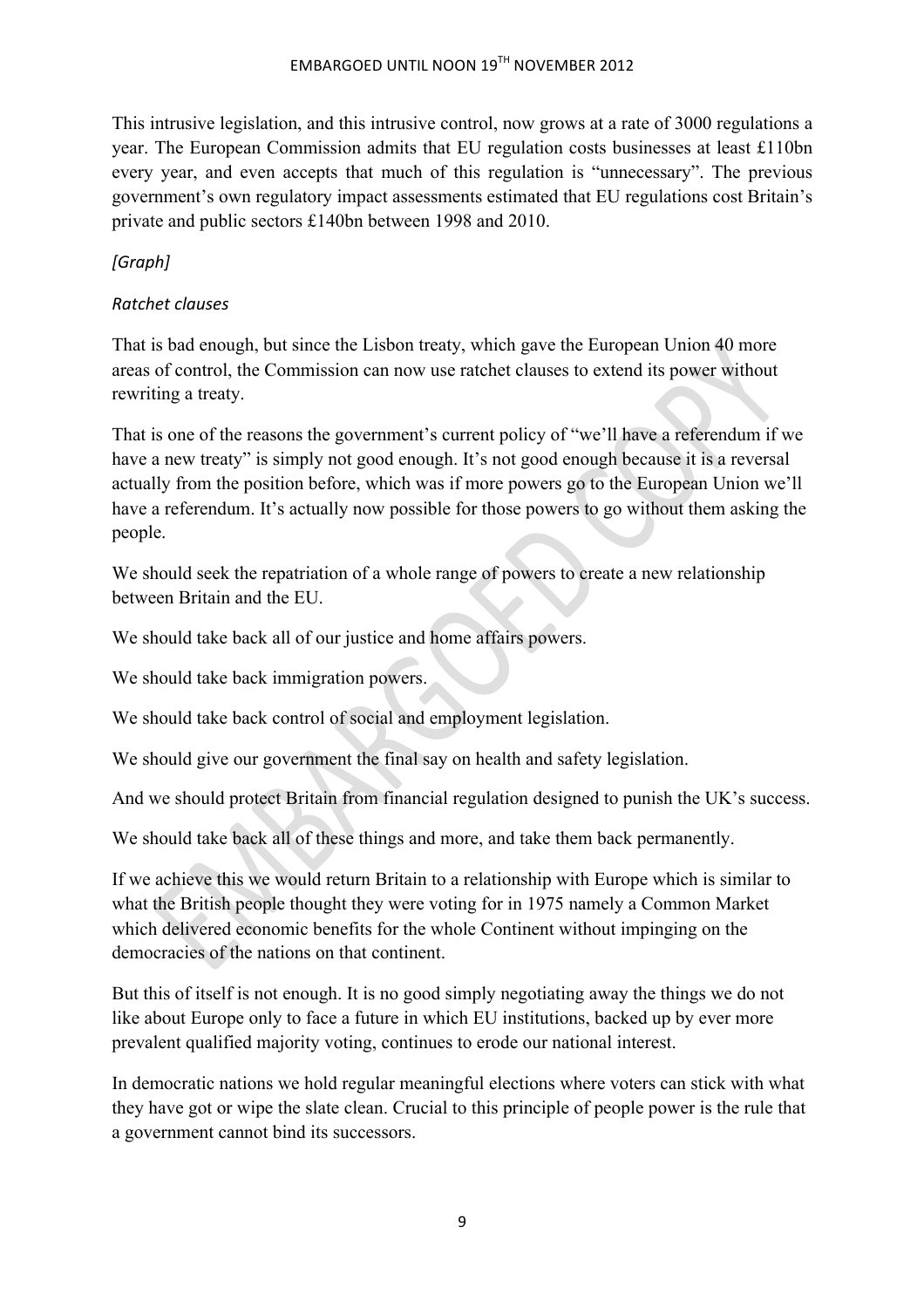This intrusive legislation, and this intrusive control, now grows at a rate of 3000 regulations a year. The European Commission admits that EU regulation costs businesses at least £110bn every year, and even accepts that much of this regulation is "unnecessary". The previous government's own regulatory impact assessments estimated that EU regulations cost Britain's private and public sectors £140bn between 1998 and 2010.

# *[Graph]*

## *Ratchet clauses*

That is bad enough, but since the Lisbon treaty, which gave the European Union 40 more areas of control, the Commission can now use ratchet clauses to extend its power without rewriting a treaty.

That is one of the reasons the government's current policy of "we'll have a referendum if we have a new treaty" is simply not good enough. It's not good enough because it is a reversal actually from the position before, which was if more powers go to the European Union we'll have a referendum. It's actually now possible for those powers to go without them asking the people.

We should seek the repatriation of a whole range of powers to create a new relationship between Britain and the EU.

We should take back all of our justice and home affairs powers.

We should take back immigration powers.

We should take back control of social and employment legislation.

We should give our government the final say on health and safety legislation.

And we should protect Britain from financial regulation designed to punish the UK's success.

We should take back all of these things and more, and take them back permanently.

If we achieve this we would return Britain to a relationship with Europe which is similar to what the British people thought they were voting for in 1975 namely a Common Market which delivered economic benefits for the whole Continent without impinging on the democracies of the nations on that continent.

But this of itself is not enough. It is no good simply negotiating away the things we do not like about Europe only to face a future in which EU institutions, backed up by ever more prevalent qualified majority voting, continues to erode our national interest.

In democratic nations we hold regular meaningful elections where voters can stick with what they have got or wipe the slate clean. Crucial to this principle of people power is the rule that a government cannot bind its successors.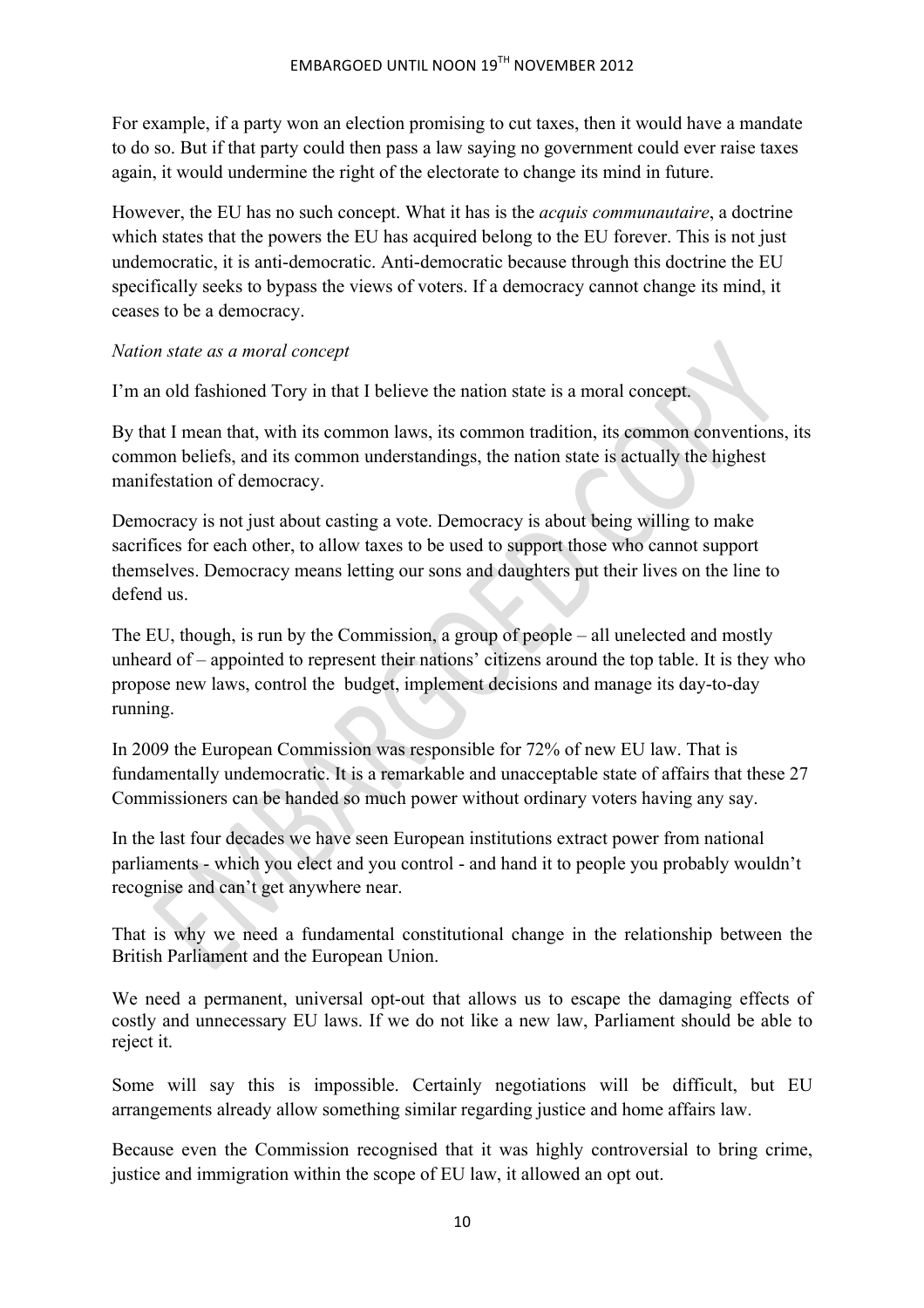For example, if a party won an election promising to cut taxes, then it would have a mandate to do so. But if that party could then pass a law saying no government could ever raise taxes again, it would undermine the right of the electorate to change its mind in future.

However, the EU has no such concept. What it has is the *acquis communautaire*, a doctrine which states that the powers the EU has acquired belong to the EU forever. This is not just undemocratic, it is anti-democratic. Anti-democratic because through this doctrine the EU specifically seeks to bypass the views of voters. If a democracy cannot change its mind, it ceases to be a democracy.

#### *Nation state as a moral concept*

I'm an old fashioned Tory in that I believe the nation state is a moral concept.

By that I mean that, with its common laws, its common tradition, its common conventions, its common beliefs, and its common understandings, the nation state is actually the highest manifestation of democracy.

Democracy is not just about casting a vote. Democracy is about being willing to make sacrifices for each other, to allow taxes to be used to support those who cannot support themselves. Democracy means letting our sons and daughters put their lives on the line to defend us.

The EU, though, is run by the Commission, a group of people – all unelected and mostly unheard of – appointed to represent their nations' citizens around the top table. It is they who propose new laws, control the budget, implement decisions and manage its day-to-day running.

In 2009 the European Commission was responsible for 72% of new EU law. That is fundamentally undemocratic. It is a remarkable and unacceptable state of affairs that these 27 Commissioners can be handed so much power without ordinary voters having any say.

In the last four decades we have seen European institutions extract power from national parliaments - which you elect and you control - and hand it to people you probably wouldn't recognise and can't get anywhere near.

That is why we need a fundamental constitutional change in the relationship between the British Parliament and the European Union.

We need a permanent, universal opt-out that allows us to escape the damaging effects of costly and unnecessary EU laws. If we do not like a new law, Parliament should be able to reject it.

Some will say this is impossible. Certainly negotiations will be difficult, but EU arrangements already allow something similar regarding justice and home affairs law.

Because even the Commission recognised that it was highly controversial to bring crime, justice and immigration within the scope of EU law, it allowed an opt out.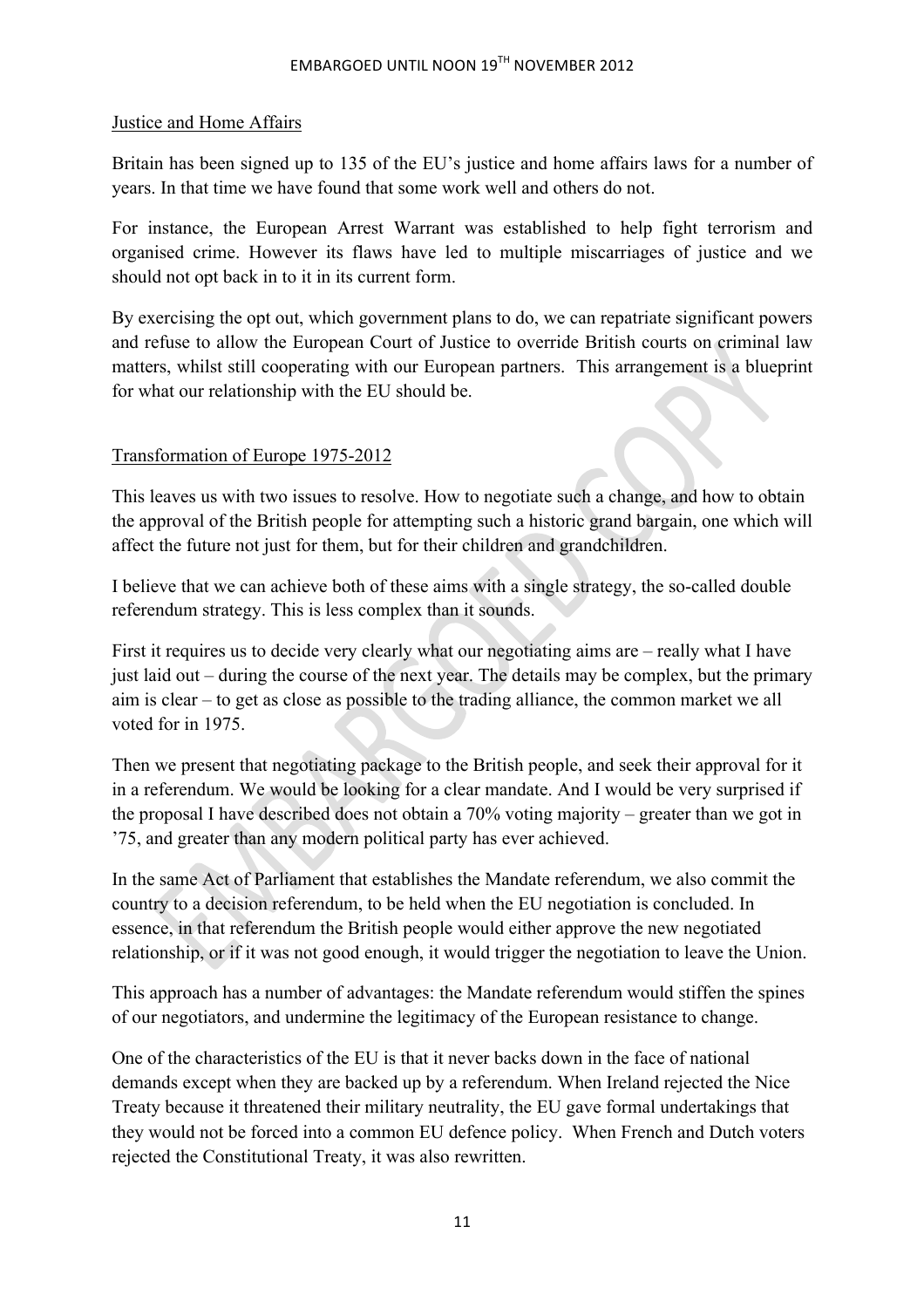#### Justice and Home Affairs

Britain has been signed up to 135 of the EU's justice and home affairs laws for a number of years. In that time we have found that some work well and others do not.

For instance, the European Arrest Warrant was established to help fight terrorism and organised crime. However its flaws have led to multiple miscarriages of justice and we should not opt back in to it in its current form.

By exercising the opt out, which government plans to do, we can repatriate significant powers and refuse to allow the European Court of Justice to override British courts on criminal law matters, whilst still cooperating with our European partners. This arrangement is a blueprint for what our relationship with the EU should be.

#### Transformation of Europe 1975-2012

This leaves us with two issues to resolve. How to negotiate such a change, and how to obtain the approval of the British people for attempting such a historic grand bargain, one which will affect the future not just for them, but for their children and grandchildren.

I believe that we can achieve both of these aims with a single strategy, the so-called double referendum strategy. This is less complex than it sounds.

First it requires us to decide very clearly what our negotiating aims are – really what I have just laid out – during the course of the next year. The details may be complex, but the primary aim is clear – to get as close as possible to the trading alliance, the common market we all voted for in 1975.

Then we present that negotiating package to the British people, and seek their approval for it in a referendum. We would be looking for a clear mandate. And I would be very surprised if the proposal I have described does not obtain a 70% voting majority – greater than we got in '75, and greater than any modern political party has ever achieved.

In the same Act of Parliament that establishes the Mandate referendum, we also commit the country to a decision referendum, to be held when the EU negotiation is concluded. In essence, in that referendum the British people would either approve the new negotiated relationship, or if it was not good enough, it would trigger the negotiation to leave the Union.

This approach has a number of advantages: the Mandate referendum would stiffen the spines of our negotiators, and undermine the legitimacy of the European resistance to change.

One of the characteristics of the EU is that it never backs down in the face of national demands except when they are backed up by a referendum. When Ireland rejected the Nice Treaty because it threatened their military neutrality, the EU gave formal undertakings that they would not be forced into a common EU defence policy. When French and Dutch voters rejected the Constitutional Treaty, it was also rewritten.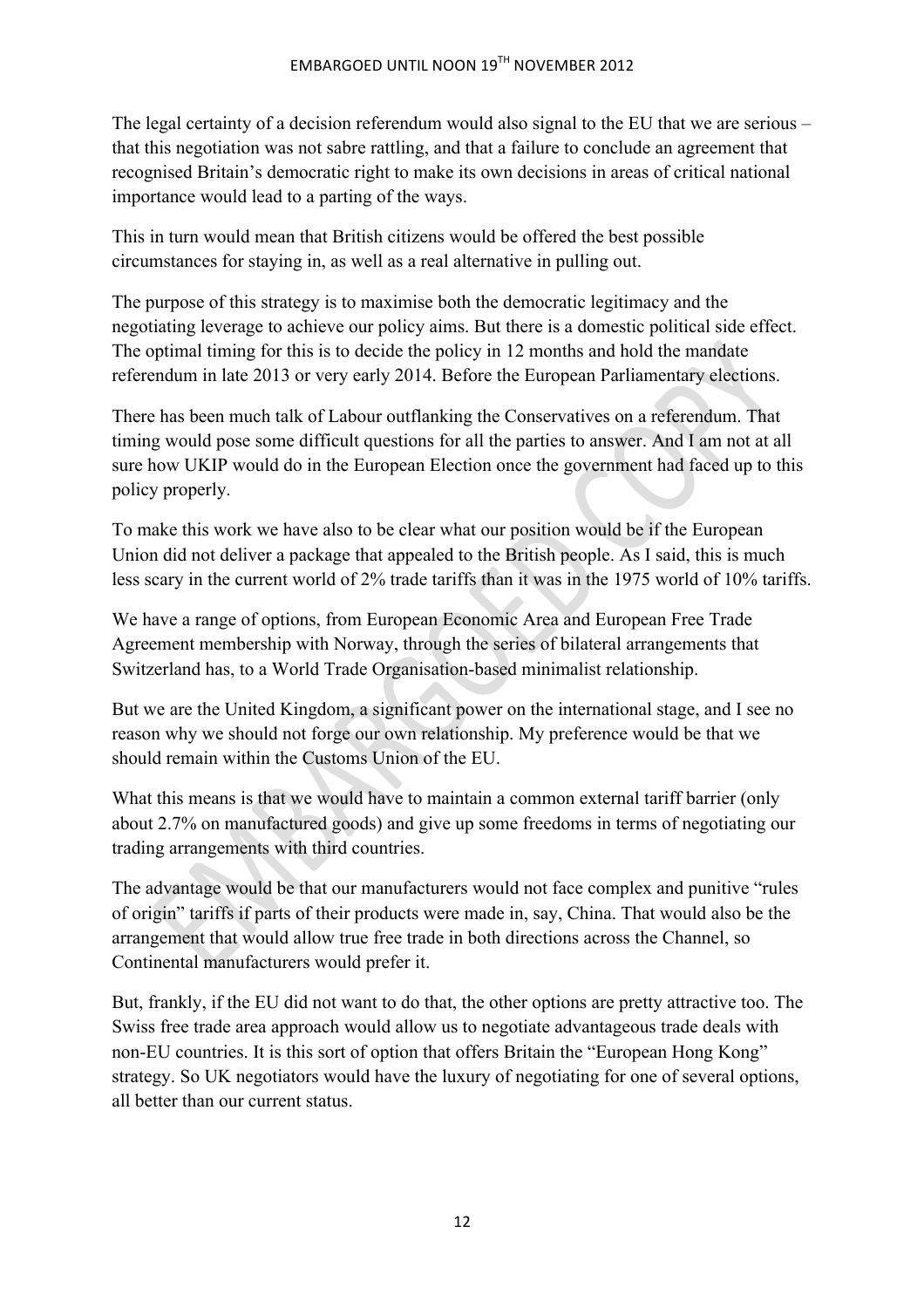The legal certainty of a decision referendum would also signal to the EU that we are serious – that this negotiation was not sabre rattling, and that a failure to conclude an agreement that recognised Britain's democratic right to make its own decisions in areas of critical national importance would lead to a parting of the ways.

This in turn would mean that British citizens would be offered the best possible circumstances for staying in, as well as a real alternative in pulling out.

The purpose of this strategy is to maximise both the democratic legitimacy and the negotiating leverage to achieve our policy aims. But there is a domestic political side effect. The optimal timing for this is to decide the policy in 12 months and hold the mandate referendum in late 2013 or very early 2014. Before the European Parliamentary elections.

There has been much talk of Labour outflanking the Conservatives on a referendum. That timing would pose some difficult questions for all the parties to answer. And I am not at all sure how UKIP would do in the European Election once the government had faced up to this policy properly.

To make this work we have also to be clear what our position would be if the European Union did not deliver a package that appealed to the British people. As I said, this is much less scary in the current world of 2% trade tariffs than it was in the 1975 world of 10% tariffs.

We have a range of options, from European Economic Area and European Free Trade Agreement membership with Norway, through the series of bilateral arrangements that Switzerland has, to a World Trade Organisation-based minimalist relationship.

But we are the United Kingdom, a significant power on the international stage, and I see no reason why we should not forge our own relationship. My preference would be that we should remain within the Customs Union of the EU.

What this means is that we would have to maintain a common external tariff barrier (only about 2.7% on manufactured goods) and give up some freedoms in terms of negotiating our trading arrangements with third countries.

The advantage would be that our manufacturers would not face complex and punitive "rules of origin" tariffs if parts of their products were made in, say, China. That would also be the arrangement that would allow true free trade in both directions across the Channel, so Continental manufacturers would prefer it.

But, frankly, if the EU did not want to do that, the other options are pretty attractive too. The Swiss free trade area approach would allow us to negotiate advantageous trade deals with non-EU countries. It is this sort of option that offers Britain the "European Hong Kong" strategy. So UK negotiators would have the luxury of negotiating for one of several options, all better than our current status.